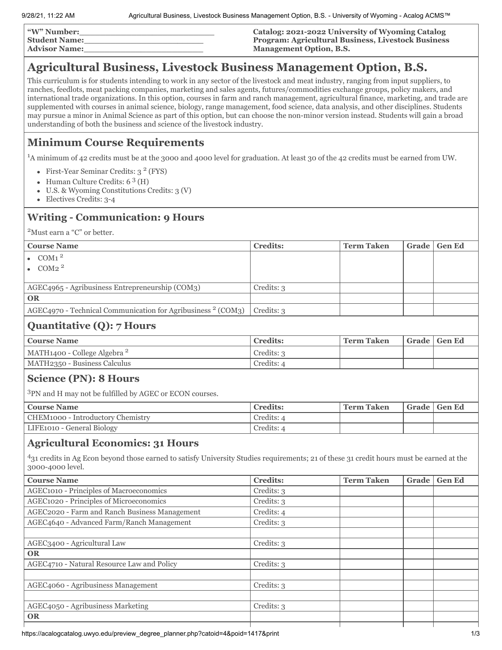| "W" Number:          | Catalog: 2021-2022 University of Wyoming Catalog          |
|----------------------|-----------------------------------------------------------|
| <b>Student Name:</b> | <b>Program: Agricultural Business, Livestock Business</b> |
| <b>Advisor Name:</b> | <b>Management Option, B.S.</b>                            |

## **Agricultural Business, Livestock Business Management Option, B.S.**

This curriculum is for students intending to work in any sector of the livestock and meat industry, ranging from input suppliers, to ranches, feedlots, meat packing companies, marketing and sales agents, futures/commodities exchange groups, policy makers, and international trade organizations. In this option, courses in farm and ranch management, agricultural finance, marketing, and trade are supplemented with courses in animal science, biology, range management, food science, data analysis, and other disciplines. Students may pursue a minor in Animal Science as part of this option, but can choose the non-minor version instead. Students will gain a broad understanding of both the business and science of the livestock industry.

## **Minimum Course Requirements**

<sup>1</sup>A minimum of 42 credits must be at the 3000 and 4000 level for graduation. At least 30 of the 42 credits must be earned from UW.

- First-Year Seminar Credits: 3<sup>2</sup> (FYS)
- Human Culture Credits: 6<sup>3</sup> (H)
- U.S. & Wyoming Constitutions Credits: 3 (V)  $\bullet$
- Electives Credits: 3-4  $\bullet$

## **Writing - Communication: 9 Hours**

<sup>2</sup>Must earn a "C" or better.

| <b>Course Name</b>                                                                                                                                                                                      | <b>Credits:</b> | <b>Term Taken</b> | <b>Grade</b> | <b>Gen Ed</b> |
|---------------------------------------------------------------------------------------------------------------------------------------------------------------------------------------------------------|-----------------|-------------------|--------------|---------------|
| $\rm{COM1}\,^2$                                                                                                                                                                                         |                 |                   |              |               |
| COM <sub>2</sub> $^2$                                                                                                                                                                                   |                 |                   |              |               |
|                                                                                                                                                                                                         |                 |                   |              |               |
| AGEC4965 - Agribusiness Entrepreneurship (COM3)                                                                                                                                                         | Credits: 3      |                   |              |               |
| <b>OR</b>                                                                                                                                                                                               |                 |                   |              |               |
| $AGEC4970$ - Technical Communication for Agribusiness $2$ (COM3)                                                                                                                                        | Credits: 3      |                   |              |               |
| <b>Quantitative (Q): 7 Hours</b>                                                                                                                                                                        |                 |                   |              |               |
| <b>Course Name</b>                                                                                                                                                                                      | <b>Credits:</b> | <b>Term Taken</b> | Grade        | <b>Gen Ed</b> |
| MATH1400 - College Algebra <sup>2</sup>                                                                                                                                                                 | Credits: 3      |                   |              |               |
| MATH2350 - Business Calculus                                                                                                                                                                            | Credits: 4      |                   |              |               |
| <b>Science (PN): 8 Hours</b>                                                                                                                                                                            |                 |                   |              |               |
| <sup>3</sup> PN and H may not be fulfilled by AGEC or ECON courses.                                                                                                                                     |                 |                   |              |               |
| <b>Course Name</b>                                                                                                                                                                                      | <b>Credits:</b> | <b>Term Taken</b> | Grade        | <b>Gen Ed</b> |
| CHEM1000 - Introductory Chemistry                                                                                                                                                                       | Credits: 4      |                   |              |               |
| LIFE1010 - General Biology                                                                                                                                                                              | Credits: 4      |                   |              |               |
| <b>Agricultural Economics: 31 Hours</b><br>431 credits in Ag Econ beyond those earned to satisfy University Studies requirements; 21 of these 31 credit hours must be earned at the<br>3000-4000 level. |                 |                   |              |               |
| <b>Course Name</b>                                                                                                                                                                                      | <b>Credits:</b> | <b>Term Taken</b> | Grade        | <b>Gen Ed</b> |
| AGEC1010 - Principles of Macroeconomics                                                                                                                                                                 | Credits: 3      |                   |              |               |
| AGEC1020 - Principles of Microeconomics                                                                                                                                                                 | Credits: 3      |                   |              |               |
| AGEC2020 - Farm and Ranch Business Management                                                                                                                                                           | Credits: 4      |                   |              |               |
| AGEC4640 - Advanced Farm/Ranch Management                                                                                                                                                               | Credits: 3      |                   |              |               |
|                                                                                                                                                                                                         |                 |                   |              |               |
| AGEC3400 - Agricultural Law                                                                                                                                                                             | Credits: 3      |                   |              |               |
| <b>OR</b>                                                                                                                                                                                               |                 |                   |              |               |
| AGEC4710 - Natural Resource Law and Policy                                                                                                                                                              | Credits: 3      |                   |              |               |
|                                                                                                                                                                                                         |                 |                   |              |               |
| AGEC4060 - Agribusiness Management                                                                                                                                                                      | Credits: 3      |                   |              |               |
|                                                                                                                                                                                                         |                 |                   |              |               |
| AGEC4050 - Agribusiness Marketing                                                                                                                                                                       | Credits: 3      |                   |              |               |
| <b>OR</b>                                                                                                                                                                                               |                 |                   |              |               |
|                                                                                                                                                                                                         |                 |                   |              |               |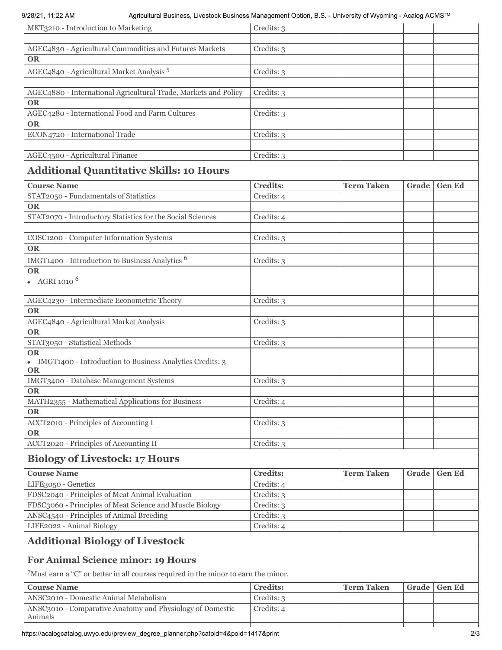| MKT3210 - Introduction to Marketing                                                                                                                                                                                               | Credits: 3      |                   |       |               |
|-----------------------------------------------------------------------------------------------------------------------------------------------------------------------------------------------------------------------------------|-----------------|-------------------|-------|---------------|
| AGEC4830 - Agricultural Commodities and Futures Markets                                                                                                                                                                           | Credits: 3      |                   |       |               |
| <b>OR</b>                                                                                                                                                                                                                         |                 |                   |       |               |
| AGEC4840 - Agricultural Market Analysis <sup>5</sup>                                                                                                                                                                              | Credits: 3      |                   |       |               |
| AGEC4880 - International Agricultural Trade, Markets and Policy                                                                                                                                                                   | Credits: 3      |                   |       |               |
| <b>OR</b>                                                                                                                                                                                                                         |                 |                   |       |               |
| AGEC4280 - International Food and Farm Cultures                                                                                                                                                                                   | Credits: 3      |                   |       |               |
| <b>OR</b>                                                                                                                                                                                                                         |                 |                   |       |               |
| ECON4720 - International Trade                                                                                                                                                                                                    | Credits: 3      |                   |       |               |
| AGEC4500 - Agricultural Finance                                                                                                                                                                                                   | Credits: 3      |                   |       |               |
| <b>Additional Quantitative Skills: 10 Hours</b>                                                                                                                                                                                   |                 |                   |       |               |
| <b>Course Name</b>                                                                                                                                                                                                                | <b>Credits:</b> | <b>Term Taken</b> | Grade | <b>Gen Ed</b> |
| STAT2050 - Fundamentals of Statistics                                                                                                                                                                                             | Credits: 4      |                   |       |               |
| <b>OR</b>                                                                                                                                                                                                                         |                 |                   |       |               |
| STAT2070 - Introductory Statistics for the Social Sciences                                                                                                                                                                        | Credits: 4      |                   |       |               |
| COSC1200 - Computer Information Systems                                                                                                                                                                                           | Credits: 3      |                   |       |               |
| <b>OR</b>                                                                                                                                                                                                                         |                 |                   |       |               |
| IMGT1400 - Introduction to Business Analytics <sup>6</sup>                                                                                                                                                                        | Credits: 3      |                   |       |               |
| <b>OR</b>                                                                                                                                                                                                                         |                 |                   |       |               |
| • AGRI 1010 $^{6}$                                                                                                                                                                                                                |                 |                   |       |               |
| AGEC4230 - Intermediate Econometric Theory                                                                                                                                                                                        | Credits: 3      |                   |       |               |
| <b>OR</b>                                                                                                                                                                                                                         |                 |                   |       |               |
| AGEC4840 - Agricultural Market Analysis                                                                                                                                                                                           | Credits: 3      |                   |       |               |
| <b>OR</b>                                                                                                                                                                                                                         |                 |                   |       |               |
| STAT3050 - Statistical Methods                                                                                                                                                                                                    | Credits: 3      |                   |       |               |
| OR<br>• IMGT1400 - Introduction to Business Analytics Credits: 3<br><b>OR</b>                                                                                                                                                     |                 |                   |       |               |
| IMGT3400 - Database Management Systems                                                                                                                                                                                            | Credits: 3      |                   |       |               |
| <b>OR</b>                                                                                                                                                                                                                         |                 |                   |       |               |
| MATH2355 - Mathematical Applications for Business                                                                                                                                                                                 | Credits: 4      |                   |       |               |
| <b>OR</b>                                                                                                                                                                                                                         |                 |                   |       |               |
| ACCT2010 - Principles of Accounting I                                                                                                                                                                                             | Credits: 3      |                   |       |               |
| <b>OR</b>                                                                                                                                                                                                                         |                 |                   |       |               |
| ACCT2020 - Principles of Accounting II                                                                                                                                                                                            | Credits: 3      |                   |       |               |
| <b>Biology of Livestock: 17 Hours</b>                                                                                                                                                                                             |                 |                   |       |               |
|                                                                                                                                                                                                                                   | <b>Credits:</b> | <b>Term Taken</b> | Grade | <b>Gen Ed</b> |
|                                                                                                                                                                                                                                   |                 |                   |       |               |
|                                                                                                                                                                                                                                   | Credits: 4      |                   |       |               |
|                                                                                                                                                                                                                                   | Credits: 3      |                   |       |               |
|                                                                                                                                                                                                                                   | Credits: 3      |                   |       |               |
|                                                                                                                                                                                                                                   | Credits: 3      |                   |       |               |
| <b>Course Name</b><br>LIFE3050 - Genetics<br>FDSC2040 - Principles of Meat Animal Evaluation<br>FDSC3060 - Principles of Meat Science and Muscle Biology<br>ANSC4540 - Principles of Animal Breeding<br>LIFE2022 - Animal Biology | Credits: 4      |                   |       |               |
|                                                                                                                                                                                                                                   |                 |                   |       |               |
| <b>Additional Biology of Livestock</b><br><b>For Animal Science minor: 19 Hours</b>                                                                                                                                               |                 |                   |       |               |

| <b>Course Name</b>                                                                 | <b>Credits:</b> | <b>Term Taken</b> | Grade   Gen Ed |
|------------------------------------------------------------------------------------|-----------------|-------------------|----------------|
| ANSC2010 - Domestic Animal Metabolism                                              | Credits: 3      |                   |                |
| ANSC3010 - Comparative Anatomy and Physiology of Domestic<br>Animals               | Credits: 4      |                   |                |
| https://acalogcatalog.uwyo.edu/preview_degree_planner.php?catoid=4&poid=1417&print |                 |                   | 2/3            |